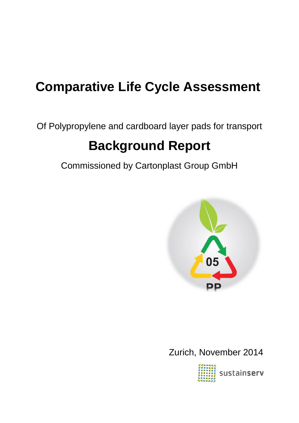# **Comparative Life Cycle Assessment**

Of Polypropylene and cardboard layer pads for transport

# **Background Report**

Commissioned by Cartonplast Group GmbH



Zurich, November 2014

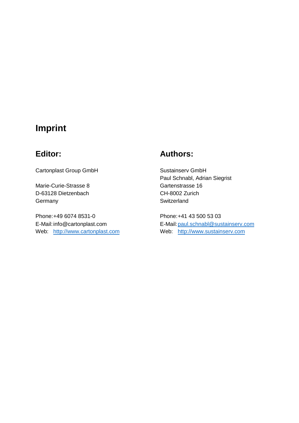# **Imprint**

Cartonplast Group GmbH Sustainserv GmbH

Marie-Curie-Strasse 8 Gartenstrasse 16 D-63128 Dietzenbach CH-8002 Zurich Germany **Switzerland** 

Phone:+49 6074 8531-0 Phone:+41 43 500 53 03 Web: [http://www.cartonplast.com](http://www.cartonplast.com/) Web: [http://www.sustainserv.com](http://www.sustainserv.com/)

# **Editor: Authors:**

Paul Schnabl, Adrian Siegrist

E-Mail:info@cartonplast.com E-Mail[:paul.schnabl@sustainserv.com](mailto:paul.schnabl@sustainserv.com)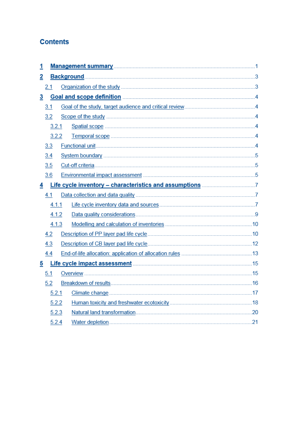# **Contents**

| <u>1</u>       |       |  |  |  |  |  |
|----------------|-------|--|--|--|--|--|
| 2              |       |  |  |  |  |  |
|                | 2.1   |  |  |  |  |  |
| $\overline{3}$ |       |  |  |  |  |  |
|                | 3.1   |  |  |  |  |  |
|                | 3.2   |  |  |  |  |  |
| 3.2.1<br>3.2.2 |       |  |  |  |  |  |
|                |       |  |  |  |  |  |
|                | 3.3   |  |  |  |  |  |
|                | 3.4   |  |  |  |  |  |
|                | 3.5   |  |  |  |  |  |
|                | 3.6   |  |  |  |  |  |
| $\overline{4}$ |       |  |  |  |  |  |
|                | 4.1   |  |  |  |  |  |
|                | 4.1.1 |  |  |  |  |  |
|                | 4.1.2 |  |  |  |  |  |
|                | 4.1.3 |  |  |  |  |  |
|                | 4.2   |  |  |  |  |  |
|                | 4.3   |  |  |  |  |  |
|                | 4.4   |  |  |  |  |  |
| $\overline{5}$ |       |  |  |  |  |  |
|                | 5.1   |  |  |  |  |  |
|                | 5.2   |  |  |  |  |  |
|                | 5.2.1 |  |  |  |  |  |
|                | 5.2.2 |  |  |  |  |  |
|                | 5.2.3 |  |  |  |  |  |
|                | 5.2.4 |  |  |  |  |  |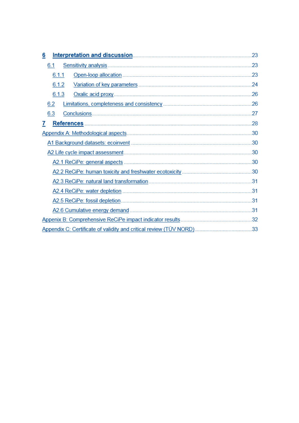| Interpretation and discussion.<br>6                       | 23  |  |  |                               |
|-----------------------------------------------------------|-----|--|--|-------------------------------|
| 6.1                                                       | 23  |  |  |                               |
| 6.1.1                                                     | 23  |  |  |                               |
| 6.1.2                                                     | 24  |  |  |                               |
| 6.1.3                                                     | 26  |  |  |                               |
| 6.2                                                       | .26 |  |  |                               |
| 6.3<br>Conclusions.                                       | .27 |  |  |                               |
| <b>References</b><br>7                                    | 28  |  |  |                               |
| .30                                                       |     |  |  |                               |
| A2 Life cycle impact assessment.                          |     |  |  |                               |
|                                                           |     |  |  | A2.1 ReCiPe: general aspects. |
|                                                           | .30 |  |  |                               |
|                                                           |     |  |  |                               |
| A2.4 ReCiPe: water depletion.                             | .31 |  |  |                               |
| A2.5 ReCiPe: fossil depletion.                            | .31 |  |  |                               |
| A2.6 Cumulative energy demand.                            |     |  |  |                               |
| Appenix B: Comprehensive ReCiPe impact indicator results. | 32  |  |  |                               |
|                                                           |     |  |  |                               |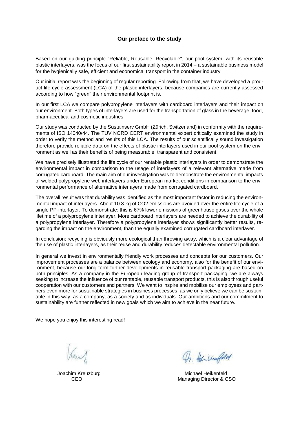#### **Our preface to the study**

Based on our guiding principle "Reliable, Reusable, Recyclable", our pool system, with its reusable plastic interlayers, was the focus of our first sustainability report in 2014 – a sustainable business model for the hygienically safe, efficient and economical transport in the container industry.

Our initial report was the beginning of regular reporting. Following from that, we have developed a product life cycle assessment (LCA) of the plastic interlayers, because companies are currently assessed according to how "green" their environmental footprint is.

In our first LCA we compare polypropylene interlayers with cardboard interlayers and their impact on our environment. Both types of interlayers are used for the transportation of glass in the beverage, food, pharmaceutical and cosmetic industries.

Our study was conducted by the Sustainserv GmbH (Zürich, Switzerland) in conformity with the requirements of ISO 14040/44. The TÜV NORD CERT environmental expert critically examined the study in order to verify the method and results of this LCA. The results of our scientifically sound investigation therefore provide reliable data on the effects of plastic interlayers used in our pool system on the environment as well as their benefits of being measurable, transparent and consistent.

We have precisely illustrated the life cycle of our rentable plastic interlayers in order to demonstrate the environmental impact in comparison to the usage of interlayers of a relevant alternative made from corrugated cardboard. The main aim of our investigation was to demonstrate the environmental impacts of welded polypropylene web interlayers under European market conditions in comparison to the environmental performance of alternative interlayers made from corrugated cardboard.

The overall result was that durability was identified as the most important factor in reducing the environmental impact of interlayers. About 10.8 kg of CO2 emissions are avoided over the entire life cycle of a single PP-interlayer. To demonstrate: this is 67% lower emissions of greenhouse gases over the whole lifetime of a polypropylene interlayer. More cardboard interlayers are needed to achieve the durability of a polypropylene interlayer. Therefore a polypropylene interlayer shows significantly better results, regarding the impact on the environment, than the equally examined corrugated cardboard interlayer.

In conclusion: recycling is obviously more ecological than throwing away, which is a clear advantage of the use of plastic interlayers, as their reuse and durability reduces detectable environmental pollution.

In general we invest in environmentally friendly work processes and concepts for our customers. Our improvement processes are a balance between ecology and economy, also for the benefit of our environment, because our long term further developments in reusable transport packaging are based on both principles. As a company in the European leading group of transport packaging, we are always seeking to increase the influence of our rentable, reusable transport products, this is also through useful cooperation with our customers and partners. We want to inspire and mobilise our employees and partners even more for sustainable strategies in business processes, as we only believe we can be sustainable in this way, as a company, as a society and as individuals. Our ambitions and our commitment to sustainability are further reflected in new goals which we aim to achieve in the near future.

We hope you enjoy this interesting read!

m

On Heinenfild

Joachim Kreuzburg Michael Heikenfeld CEO Managing Director & CSO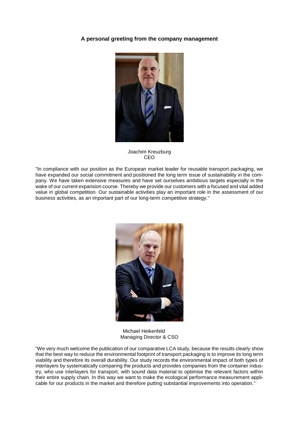#### **A personal greeting from the company management**



Joachim Kreuzburg CEO

"In compliance with our position as the European market leader for reusable transport packaging, we have expanded our social commitment and positioned the long term issue of sustainability in the company. We have taken extensive measures and have set ourselves ambitious targets especially in the wake of our current expansion course. Thereby we provide our customers with a focused and vital added value in global competition. Our sustainable activities play an important role in the assessment of our business activities, as an important part of our long-term competitive strategy."



Michael Heikenfeld Managing Director & CSO

"We very much welcome the publication of our comparative LCA study, because the results clearly show that the best way to reduce the environmental footprint of transport packaging is to improve its long term viability and therefore its overall durability. Our study records the environmental impact of both types of interlayers by systematically comparing the products and provides companies from the container industry, who use interlayers for transport, with sound data material to optimise the relevant factors within their entire supply chain. In this way we want to make the ecological performance measurement applicable for our products in the market and therefore putting substantial improvements into operation."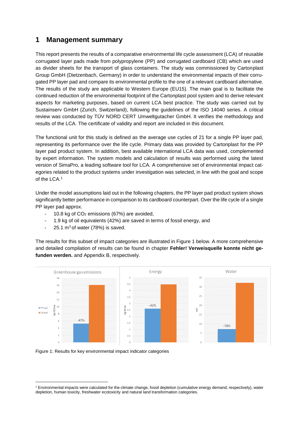# **1 Management summary**

This report presents the results of a comparative environmental life cycle assessment (LCA) of reusable corrugated layer pads made from polypropylene (PP) and corrugated cardboard (CB) which are used as divider sheets for the transport of glass containers. The study was commissioned by Cartonplast Group GmbH (Dietzenbach, Germany) in order to understand the environmental impacts of their corrugated PP layer pad and compare its environmental profile to the one of a relevant cardboard alternative. The results of the study are applicable to Western Europe (EU15). The main goal is to facilitate the continued reduction of the environmental footprint of the Cartonplast pool system and to derive relevant aspects for marketing purposes, based on current LCA best practice. The study was carried out by Sustainserv GmbH (Zurich, Switzerland), following the guidelines of the ISO 14040 series. A critical review was conducted by TÜV NORD CERT Umweltgutacher GmbH. It verifies the methodology and results of the LCA. The certificate of validity and report are included in this document.

The functional unit for this study is defined as the average use cycles of 21 for a single PP layer pad, representing its performance over the life cycle. Primary data was provided by Cartonplast for the PP layer pad product system. In addition, best available international LCA data was used, complemented by expert information. The system models and calculation of results was performed using the latest version of SimaPro, a leading software tool for LCA. A comprehensive set of environmental impact categories related to the product systems under investigation was selected, in line with the goal and scope of the LCA.<sup>1</sup>

Under the model assumptions laid out in the following chapters, the PP layer pad product system shows significantly better performance in comparison to its cardboard counterpart. Over the life cycle of a single PP layer pad approx.

- 10.8 kg of  $CO<sub>2</sub>$  emissions (67%) are avoided,
- 1.9 kg of oil equivalents (42%) are saved in terms of fossil energy, and
- 25.1  $m^3$  of water (78%) is saved.

The results for this subset of impact categories are illustrated in [Figure](#page-6-0) 1 below. A more comprehensive and detailed compilation of results can be found in chapter **Fehler! Verweisquelle konnte nicht gefunden werden.** and Appendix B, respectively.



<span id="page-6-0"></span>

-

<sup>1</sup> Environmental impacts were calculated for the climate change, fossil depletion (cumulative energy demand, respectively), water depletion, human toxicity, freshwater ecotoxicity and natural land transformation categories.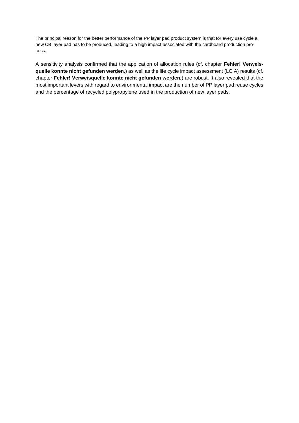The principal reason for the better performance of the PP layer pad product system is that for every use cycle a new CB layer pad has to be produced, leading to a high impact associated with the cardboard production process.

A sensitivity analysis confirmed that the application of allocation rules (cf. chapter **Fehler! Verweisquelle konnte nicht gefunden werden.**) as well as the life cycle impact assessment (LCIA) results (cf. chapter **Fehler! Verweisquelle konnte nicht gefunden werden.**) are robust. It also revealed that the most important levers with regard to environmental impact are the number of PP layer pad reuse cycles and the percentage of recycled polypropylene used in the production of new layer pads.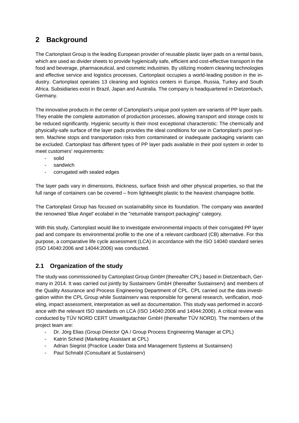# **2 Background**

The Cartonplast Group is the leading European provider of reusable plastic layer pads on a rental basis, which are used as divider sheets to provide hygienically safe, efficient and cost-effective transport in the food and beverage, pharmaceutical, and cosmetic industries. By utilizing modern cleaning technologies and effective service and logistics processes, Cartonplast occupies a world-leading position in the industry. Cartonplast operates 13 cleaning and logistics centers in Europe, Russia, Turkey and South Africa. Subsidiaries exist in Brazil, Japan and Australia. The company is headquartered in Dietzenbach, Germany.

The innovative products in the center of Cartonplast's unique pool system are variants of PP layer pads. They enable the complete automation of production processes, allowing transport and storage costs to be reduced significantly. Hygienic security is their most exceptional characteristic: The chemically and physically-safe surface of the layer pads provides the ideal conditions for use in Cartonplast's pool system. Machine stops and transportation risks from contaminated or inadequate packaging variants can be excluded. Cartonplast has different types of PP layer pads available in their pool system in order to meet customers' requirements:

- solid
- sandwich
- corrugated with sealed edges

The layer pads vary in dimensions, thickness, surface finish and other physical properties, so that the full range of containers can be covered – from lightweight plastic to the heaviest champagne bottle.

The Cartonplast Group has focused on sustainability since its foundation. The company was awarded the renowned 'Blue Angel' ecolabel in the "returnable transport packaging" category.

With this study, Cartonplast would like to investigate environmental impacts of their corrugated PP layer pad and compare its environmental profile to the one of a relevant cardboard (CB) alternative. For this purpose, a comparative life cycle assessment (LCA) in accordance with the ISO 14040 standard series (ISO 14040:2006 and 14044:2006) was conducted.

# **2.1 Organization of the study**

The study was commissioned by Cartonplast Group GmbH (thereafter CPL) based in Dietzenbach, Germany in 2014. It was carried out jointly by Sustainsery GmbH (thereafter Sustainsery) and members of the Quality Assurance and Process Engineering Department of CPL. CPL carried out the data investigation within the CPL Group while Sustainserv was responsible for general research, verification, modeling, impact assessment, interpretation as well as documentation. This study was performed in accordance with the relevant ISO standards on LCA (ISO 14040:2006 and 14044:2006). A critical review was conducted by TÜV NORD CERT Umweltgutachter GmbH (thereafter TÜV NORD). The members of the project team are:

- Dr. Jörg Elias (Group Director QA / Group Process Engineering Manager at CPL)
- Katrin Scheid (Marketing Assistant at CPL)
- Adrian Siegrist (Practice Leader Data and Management Systems at Sustainserv)
- Paul Schnabl (Consultant at Sustainserv)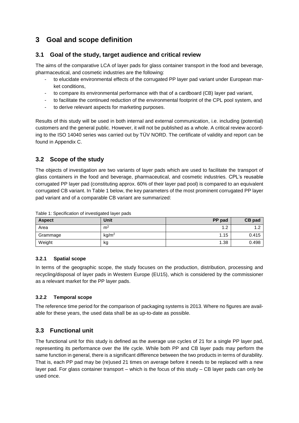# **3 Goal and scope definition**

### <span id="page-9-1"></span>**3.1 Goal of the study, target audience and critical review**

The aims of the comparative LCA of layer pads for glass container transport in the food and beverage, pharmaceutical, and cosmetic industries are the following:

- to elucidate environmental effects of the corrugated PP layer pad variant under European market conditions,
- to compare its environmental performance with that of a cardboard (CB) layer pad variant,
- to facilitate the continued reduction of the environmental footprint of the CPL pool system, and
- to derive relevant aspects for marketing purposes.

Results of this study will be used in both internal and external communication, i.e. including (potential) customers and the general public. However, it will not be published as a whole. A critical review according to the ISO 14040 series was carried out by TÜV NORD. The certificate of validity and report can be found in Appendix C.

# **3.2 Scope of the study**

The objects of investigation are two variants of layer pads which are used to facilitate the transport of glass containers in the food and beverage, pharmaceutical, and cosmetic industries. CPL's reusable corrugated PP layer pad (constituting approx. 60% of their layer pad pool) is compared to an equivalent corrugated CB variant. I[n Table 1](#page-9-0) below, the key parameters of the most prominent corrugated PP layer pad variant and of a comparable CB variant are summarized:

| <b>Aspect</b> | Unit              | PP pad        | CB pad      |
|---------------|-------------------|---------------|-------------|
| Area          | m <sup>2</sup>    | $\sim$<br>ے ، | $\sim$<br>. |
| Grammage      | kg/m <sup>2</sup> | 1.15          | 0.415       |
| Weight        | kg                | 1.38          | 0.498       |

<span id="page-9-0"></span>Table 1: Specification of investigated layer pads

#### **3.2.1 Spatial scope**

In terms of the geographic scope, the study focuses on the production, distribution, processing and recycling/disposal of layer pads in Western Europe (EU15), which is considered by the commissioner as a relevant market for the PP layer pads.

#### **3.2.2 Temporal scope**

The reference time period for the comparison of packaging systems is 2013. Where no figures are available for these years, the used data shall be as up-to-date as possible.

# **3.3 Functional unit**

The functional unit for this study is defined as the average use cycles of 21 for a single PP layer pad, representing its performance over the life cycle. While both PP and CB layer pads may perform the same function in general, there is a significant difference between the two products in terms of durability. That is, each PP pad may be (re)used 21 times on average before it needs to be replaced with a new layer pad. For glass container transport – which is the focus of this study – CB layer pads can only be used once.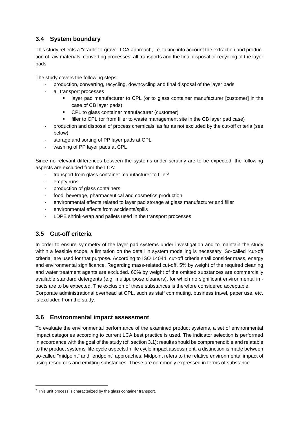# **3.4 System boundary**

This study reflects a "cradle-to-grave" LCA approach, i.e. taking into account the extraction and production of raw materials, converting processes, all transports and the final disposal or recycling of the layer pads.

The study covers the following steps:

- production, converting, recycling, downcycling and final disposal of the layer pads
- all transport processes
	- layer pad manufacturer to CPL (or to glass container manufacturer [customer] in the case of CB layer pads)
	- CPL to glass container manufacturer (customer)
	- filler to CPL (or from filler to waste management site in the CB layer pad case)
- production and disposal of process chemicals, as far as not excluded by the cut-off criteria (see below)
- storage and sorting of PP layer pads at CPL
- washing of PP layer pads at CPL

Since no relevant differences between the systems under scrutiny are to be expected, the following aspects are excluded from the LCA:

- transport from glass container manufacturer to filler<sup>2</sup>
- empty runs
- production of glass containers
- food, beverage, pharmaceutical and cosmetics production
- environmental effects related to layer pad storage at glass manufacturer and filler
- environmental effects from accidents/spills
- LDPE shrink-wrap and pallets used in the transport processes

# **3.5 Cut-off criteria**

1

In order to ensure symmetry of the layer pad systems under investigation and to maintain the study within a feasible scope, a limitation on the detail in system modelling is necessary. So-called "cut-off criteria" are used for that purpose. According to ISO 14044, cut-off criteria shall consider mass, energy and environmental significance. Regarding mass-related cut-off, 5% by weight of the required cleaning and water treatment agents are excluded. 60% by weight of the omitted substances are commercially available standard detergents (e.g. multipurpose cleaners), for which no significant environmental impacts are to be expected. The exclusion of these substances is therefore considered acceptable. Corporate administrational overhead at CPL, such as staff commuting, business travel, paper use, etc. is excluded from the study.

# **3.6 Environmental impact assessment**

To evaluate the environmental performance of the examined product systems, a set of environmental impact categories according to current LCA best practice is used. The indicator selection is performed in accordance with the goal of the study (cf. section [3.1\)](#page-9-1): results should be comprehendible and relatable to the product systems' life-cycle aspects.In life cycle impact assessment, a distinction is made between so-called "midpoint" and "endpoint" approaches. Midpoint refers to the relative environmental impact of using resources and emitting substances. These are commonly expressed in terms of substance

 $2$  This unit process is characterized by the glass container transport.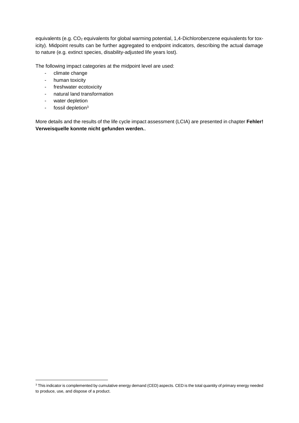equivalents (e.g. CO<sub>2</sub> equivalents for global warming potential, 1,4-Dichlorobenzene equivalents for toxicity). Midpoint results can be further aggregated to endpoint indicators, describing the actual damage to nature (e.g. extinct species, disability-adjusted life years lost).

The following impact categories at the midpoint level are used:

- climate change
- human toxicity
- freshwater ecotoxicity
- natural land transformation
- water depletion
- fossil depletion<sup>3</sup>

-

More details and the results of the life cycle impact assessment (LCIA) are presented in chapter **Fehler! Verweisquelle konnte nicht gefunden werden.**.

<sup>&</sup>lt;sup>3</sup> This indicator is complemented by cumulative energy demand (CED) aspects. CED is the total quantity of primary energy needed to produce, use, and dispose of a product.